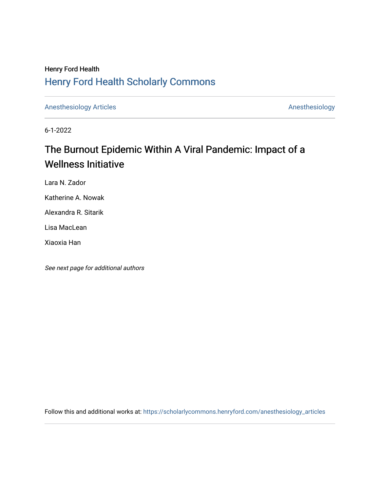### Henry Ford Health [Henry Ford Health Scholarly Commons](https://scholarlycommons.henryford.com/)

[Anesthesiology Articles](https://scholarlycommons.henryford.com/anesthesiology_articles) [Anesthesiology](https://scholarlycommons.henryford.com/anesthesiology) Articles

6-1-2022

# The Burnout Epidemic Within A Viral Pandemic: Impact of a Wellness Initiative

Lara N. Zador

Katherine A. Nowak

Alexandra R. Sitarik

Lisa MacLean

Xiaoxia Han

See next page for additional authors

Follow this and additional works at: [https://scholarlycommons.henryford.com/anesthesiology\\_articles](https://scholarlycommons.henryford.com/anesthesiology_articles?utm_source=scholarlycommons.henryford.com%2Fanesthesiology_articles%2F134&utm_medium=PDF&utm_campaign=PDFCoverPages)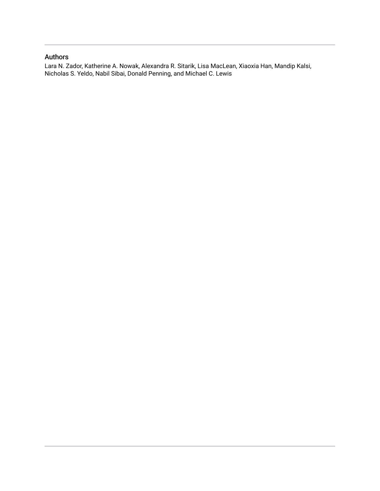### Authors

Lara N. Zador, Katherine A. Nowak, Alexandra R. Sitarik, Lisa MacLean, Xiaoxia Han, Mandip Kalsi, Nicholas S. Yeldo, Nabil Sibai, Donald Penning, and Michael C. Lewis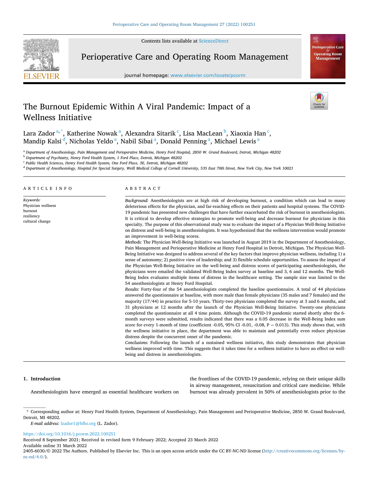Contents lists available at [ScienceDirect](www.sciencedirect.com/science/journal/24056030)



Perioperative Care and Operating Room Management

journal homepage: [www.elsevier.com/locate/pcorm](https://www.elsevier.com/locate/pcorm) 



## Wellness Initiative Lara Zador<sup>a,\*</sup>, Katherine Nowak<sup>a</sup>, Alexandra Sitarik<sup>c</sup>, Lisa MacLean<sup>b</sup>, Xiaoxia Han<sup>c</sup>,

Mandip Kalsi <sup>d</sup>, Nicholas Yeldo <sup>a</sup>, Nabil Sibai <sup>a</sup>, Donald Penning <sup>a</sup>, Michael Lewis <sup>a</sup>

The Burnout Epidemic Within A Viral Pandemic: Impact of a

<sup>a</sup> *Department of Anesthesiology, Pain Management and Perioperative Medicine, Henry Ford Hospital, 2850 W. Grand Boulevard, Detroit, Michigan 48202* 

<sup>b</sup> *Department of Psychiatry, Henry Ford Health System, 1 Ford Place, Detroit, Michigan 48202* 

<sup>c</sup> *Public Health Sciences, Henry Ford Health System, One Ford Place, 3E, Detroit, Michigan 48202* 

<sup>d</sup> *Department of Anesthesiology, Hospital for Special Surgery, Weill Medical College of Cornell University, 535 East 70th Street, New York City, New York 10021* 

ARTICLE INFO

*Keywords:*  Physician wellness burnout resiliency cultural change

### ABSTRACT

*Background:* Anesthesiologists are at high risk of developing burnout, a condition which can lead to many deleterious effects for the physician, and far-reaching effects on their patients and hospital systems. The COVID-19 pandemic has presented new challenges that have further exacerbated the risk of burnout in anesthesiologists. It is critical to develop effective strategies to promote well-being and decrease burnout for physicians in this specialty. The purpose of this observational study was to evaluate the impact of a Physician Well-Being Initiative on distress and well-being in anesthesiologists. It was hypothesized that the wellness intervention would promote an improvement in well-being scores.

*Methods:* The Physician Well-Being Initiative was launched in August 2019 in the Department of Anesthesiology, Pain Management and Perioperative Medicine at Henry Ford Hospital in Detroit, Michigan. The Physician Well-Being Initiative was designed to address several of the key factors that improve physician wellness, including 1) a sense of autonomy; 2) positive view of leadership; and 3) flexible schedule opportunities. To assess the impact of the Physician Well-Being Initiative on the well-being and distress scores of participating anesthesiologists, the physicians were emailed the validated Well-Being Index survey at baseline and 3, 6 and 12 months. The Well-Being Index evaluates multiple items of distress in the healthcare setting. The sample size was limited to the 54 anesthesiologists at Henry Ford Hospital.

*Results:* Forty-four of the 54 anesthesiologists completed the baseline questionnaire. A total of 44 physicians answered the questionnaire at baseline, with more male than female physicians (35 males and 7 females) and the majority (17/44) in practice for 5-10 years. Thirty-two physicians completed the survey at 3 and 6 months, and 31 physicians at 12 months after the launch of the Physician Well-Being Initiative. Twenty-one physicians completed the questionnaire at all 4 time points. Although the COVID-19 pandemic started shortly after the 6 month surveys were submitted, results indicated that there was a 0.05 decrease in the Well-Being Index sum score for every 1-month of time (coefficient -0.05, 95% CI -0.01, -0.08,  $P = 0.013$ ). This study shows that, with the wellness initiative in place, the department was able to maintain and potentially even reduce physician distress despite the concurrent onset of the pandemic.

*Conclusions:* Following the launch of a sustained wellness initiative**,** this study demonstrates that physician wellness improved with time. This suggests that it takes time for a wellness initiative to have an effect on wellbeing and distress in anesthesiologists.

#### **1. Introduction**

Anesthesiologists have emerged as essential healthcare workers on

the frontlines of the COVID-19 pandemic, relying on their unique skills in airway management, resuscitation and critical care medicine. While burnout was already prevalent in 50% of anesthesiologists prior to the

*E-mail address:* [lzador1@hfhs.org](mailto:lzador1@hfhs.org) (L. Zador).

<https://doi.org/10.1016/j.pcorm.2022.100251>

Available online 31 March 2022 Received 8 September 2021; Received in revised form 9 February 2022; Accepted 23 March 2022

<sup>\*</sup> Corresponding author at: Henry Ford Health System, Department of Anesthesiology, Pain Management and Perioperative Medicine, 2850 W. Grand Boulevard, Detroit, MI 48202.

<sup>2405-6030/© 2022</sup> The Authors. Published by Elsevier Inc. This is an open access article under the CC BY-NC-ND license([http://creativecommons.org/licenses/by](http://creativecommons.org/licenses/by-nc-nd/4.0/) $nc\text{-}nd/4.0/$ ).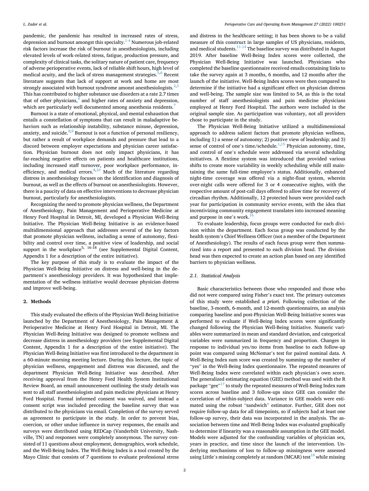pandemic, the pandemic has resulted in increased rates of stress, depression and burnout amongst this specialty.<sup>1-4</sup> Numerous job-related risk factors increase the risk of burnout in anesthesiologists, including elevated levels of work-related stress, fatigue, production pressure, and complexity of clinical tasks, the solitary nature of patient care, frequency of adverse perioperative events, lack of reliable shift hours, high level of medical acuity, and the lack of stress management strategies. $5,6$  Recent literature suggests that lack of support at work and home are most strongly associated with burnout syndrome amonst anesthesiologists. $2,3$ This has contributed to higher substance use disorders at a rate 2.7 times that of other physicians, $<sup>4</sup>$  and higher rates of anxiety and depression,</sup> which are particularly well documented among anesthesia residents.<sup>7</sup>

Burnout is a state of emotional, physical, and mental exhaustion that entails a constellation of symptoms that can result in maladaptive behaviors such as relationship instability, substance misuse, depression, anxiety, and suicide. $8,9$  Burnout is not a function of personal resiliency, but rather a result of workplace demands and pressure that lead to a discord between employer expectations and physician career satisfaction. Physician burnout does not only impact physicians, it has far-reaching negative effects on patients and healthcare institutions, including increased staff turnover, poor workplace performance, inefficiency, and medical errors. $8,10$  Much of the literature regarding distress in anesthesiology focuses on the identification and diagnosis of burnout, as well as the effects of burnout on anesthesiologists. However, there is a paucity of data on effective interventions to decrease physician burnout, particularly for anesthesiologists.

Recognizing the need to promote physician wellness, the Department of Anesthesiology, Pain Management and Perioperative Medicine at Henry Ford Hospital in Detroit, MI, developed a Physician Well-Being Initiative. The Physician Well-Being Initiative is an evidence-based multidimensional approach that addresses several of the key factors that promote physician wellness, including a sense of autonomy, flexibility and control over time, a positive view of leadership, and social support in the workplace<sup>5, 16-18</sup> (see Supplemental Digital Content, Appendix 1 for a description of the entire initiative).

The key purpose of this study is to evaluate the impact of the Physician Well-Being Initiative on distress and well-being in the department's anesthesiology providers. It was hypothesized that implementation of the wellness initiative would decrease physician distress and improve well-being.

#### **2. Methods**

This study evaluated the effects of the Physician Well-Being Initiative launched by the Department of Anesthesiology, Pain Management & Perioperative Medicine at Henry Ford Hospital in Detroit, MI. The Physician Well-Being Initiative was designed to promote wellness and decrease distress in anesthesiology providers (see Supplemental Digital Content, Appendix 1 for a description of the entire initiative). The Physician Well-Being Initiative was first introduced to the department in a 60-minute morning meeting lecture. During this lecture, the topic of physician wellness, engagement and distress was discussed, and the department Physician Well-Being Initiative was described. After receiving approval from the Henry Ford Health System Institutional Review Board, an email announcement outlining the study details was sent to all staff anesthesiologists and pain medicine physicians at Henry Ford Hospital. Formal informed consent was waived, and instead a consent script was included preceding the baseline survey that was distributed to the physicians via email. Completion of the survey served as agreement to participate in the study. In order to prevent bias, coercion, or other undue influence in survey responses, the emails and surveys were distributed using REDCap (Vanderbilt University, Nashville, TN) and responses were completely anonymous. The survey consisted of 11 questions about employment, demographics, work schedule, and the Well-Being Index. The Well-Being Index is a tool created by the Mayo Clinic that consists of 7 questions to evaluate professional stress

and distress in the healthcare setting; it has been shown to be a valid measure of this construct in large samples of US physicians, residents, and medical students.<sup>11-14</sup> The baseline survey was distributed in August 2019. After baseline Well-Being Index scores were collected, the Physician Well-Being Initiative was launched. Physicians who completed the baseline questionnaire received emails containing links to take the survey again at 3 months, 6 months, and 12 months after the launch of the initiative. Well-Being Index scores were then compared to determine if the initiative had a significant effect on physician distress and well-being. The sample size was limited to 54, as this is the total number of staff anesthesiologists and pain medicine physicians employed at Henry Ford Hospital. The authors were included in the original sample size. As participation was voluntary, not all providers chose to participate in the study.

The Physician Well-Being Initiative utilized a multidimensional approach to address salient factors that promote physician wellness, including 1) a sense of autonomy; 2) positive view of leadership; and 3) sense of control of one's time/schedule. $1,15$  Physician autonomy, time, and control of one's schedule were addressed via several scheduling initiatives. A flextime system was introduced that provided various shifts to create more variability in weekly scheduling while still maintaining the same full-time employee's status. Additionally, enhanced night-time coverage was offered via a night-float system, wherein over-night calls were offered for 3 or 4 consecutive nights, with the respective amount of post-call days offered to allow time for recovery of circadian rhythm. Additionally, 12 protected hours were provided each year for participation in community service events, with the idea that incentivizing community engagement translates into increased meaning and purpose in one's work.<sup>16</sup>

To evaluate leadership, focus groups were conducted for each division within the department. Each focus group was conducted by the health system's Chief Wellness Officer (not a member of the Department of Anesthesiology). The results of each focus group were then summarized into a report and presented to each division head. The division head was then expected to create an action plan based on any identified barriers to physician wellness.

#### *2.1. Statistical Analysis*

Basic characteristics between those who responded and those who did not were compared using Fisher's exact test. The primary outcomes of this study were established *a priori*. Following collection of the baseline, 3-month, 6-month, and 12-month questionnaires, an analysis comparing baseline and post-Physician Well-Being Initiative scores was performed to evaluate if Well-Being Index scores were significantly changed following the Physician Well-Being Initiative. Numeric variables were summarized in mean and standard deviation, and categorical variables were summarized in frequency and proportion. Changes in response to individual yes/no items from baseline to each follow-up point was compared using McNemar's test for paired nominal data. A Well-Being Index sum score was created by summing up the number of "yes" in the Well-Being Index questionnaire. The repeated measures of Well-Being Index were correlated within each physician's own score. The generalized estimating equation (GEE) method was used with the R package "gee" $17$  to study the repeated measures of Well-Being Index sum scores across baseline and 3 follow-ups since GEE can consider the correlation of within-subject data. Variance in GEE models were estimated using the robust "sandwich" estimator. Further, GEE does not require follow-up data for all timepoints, so if subjects had at least one follow-up survey, their data was incorporated in the analysis. The association between time and Well-Being Index was evaluated graphically to determine if linearity was a reasonable assumption in the GEE model. Models were adjusted for the confounding variables of physician sex, years in practice, and time since the launch of the intervention. Underlying mechanisms of loss to follow-up missingness were assessed using Little's missing completely at random (MCAR) test<sup>18</sup> while missing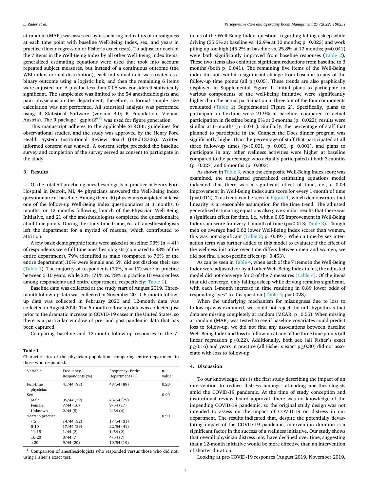at random (MAR) was assessed by associating indicators of missingness at each time point with baseline Well-Being Index, sex, and years in practice (linear regression or Fisher's exact tests). To adjust for each of the 7 items in the Well-Being Index by all other Well-Being Index items, generalized estimating equations were used that took into account repeated subject measures, but instead of a continuous outcome (the WBI index, normal distribution), each individual item was treated as a binary outcome using a logistic link, and then the remaining 6 items were adjusted for. A p-value less than 0.05 was considered statistically significant. The sample size was limited to the 54 anesthesiologists and pain physicians in the department; therefore, a formal sample size calculation was not performed. All statistical analysis was performed using R Statistical Software (version 4.0; R Foundation, Vienna, Austria). The R package "ggplot2"<sup>19</sup> was used for figure generation.

This manuscript adheres to the applicable STROBE guidelines for observational studies, and the study was approved by the Henry Ford Health System Institutional Review Board (IRB#13706). Written informed consent was waived. A consent script preceded the baseline survey and completion of the survey served as consent to participate in the study.

#### **3. Results**

Of the total 54 practicing anesthesiologists in practice at Henry Ford Hospital in Detroit, MI, 44 physicians answered the Well-Being Index questionnaire at baseline. Among them, 40 physicians completed at least one of the follow-up Well-Being Index questionnaires at 3 months, 6 months, or 12 months following launch of the Physician Well-Being Initiative, and 21 of the anesthesiologists completed the questionnaire at all time points. During the study time frame, 6 staff anesthesiologists left the department for a myriad of reasons, which contributed to attrition.

A few basic demographic items were asked at baseline:  $93\%$  (n = 41) of respondents were full-time anesthesiologists (compared to 83% of the entire department), 79% identified as male (compared to 76% of the entire department),16% were female and 5% did not disclose their sex (Table 1). The majority of respondents (39%,  $n = 17$ ) were in practice between 5-10 years, while 32% (71% vs. 78% in practice 10 years or less among respondents and entire department, respectively; Table 1).

Baseline data was collected at the study start of August 2019. Threemonth follow-up data was collected in November 2019, 6-month followup data was collected in February 2020 and 12-month data was collected in August 2020. The 6-month follow-up data was collected just prior to the dramatic increase in COVID-19 cases in the United States, so there is a particular window of pre- and post-pandemic data that has been captured.

Comparing baseline and 12-month follow-up responses to the 7-

#### **Table 1**

Characteristics of the physician population, comparing entire department to those who responded.

| Variable               | Frequency-<br>Respondents (%) | Frequency-Entire<br>Department (%) | $p-$<br>value |
|------------------------|-------------------------------|------------------------------------|---------------|
| Full-time<br>physician | 41/44 (93)                    | 48/54 (89)                         | 0.20          |
| Sex                    |                               |                                    | 0.99          |
| Male                   | 35/44 (79)                    | 43/54 (79)                         |               |
| Female                 | 7/44(16)                      | 9/54(17)                           |               |
| Unknown                | 2/44(5)                       | 2/54(4)                            |               |
| Years in practice      |                               |                                    | 0.90          |
| $<$ 5                  | 14/44 (32)                    | 17/54(31)                          |               |
| $5-10$                 | 17/44 (39)                    | 22/54(41)                          |               |
| 11-15                  | 1/44(2)                       | 1/54(2)                            |               |
| 16-20                  | 3/44(7)                       | 4/54(7)                            |               |
| >20                    | 9/44(20)                      | 10/54(19)                          |               |
|                        |                               |                                    |               |

<sup>1</sup> Comparison of anesthesiologists who responded versus those who did not, using Fisher's exact test.

items of the Well-Being Index, questions regarding falling asleep while driving (35.5% at baseline vs. 12.9% at 12 months;  $p=0.023$ ) and work piling up too high (45.2% at baseline vs. 25.8% at 12 months;  $p=0.041$ ) were both significantly improved from baseline responses ([Table 2](#page-5-0)). These two items also exhibited significant reductions from baseline to 3 months (both p=0.041). The remaining five items of the Well-Being index did not exhibit a significant change from baseline to any of the follow-up time points (all  $p>0.05$ ). These trends are also graphically displayed in Supplemental Figure 1. Initial plans to participate in various components of the well-being initiative were significantly higher than the actual participation in three out of the four components evaluated ([Table 2;](#page-5-0) Supplemental Figure 2). Specifically, plans to participate in flextime were 21.9% at baseline, compared to actual participation in flextime being 0% at 3-months ( $p=0.023$ ); results were similar at 6-months ( $p=0.041$ ). Similarly, the percentage of staff that planned to participate in the Connect the Docs dinner program was significantly higher than the percentage of staff that participated at all three follow-up times  $(p<0.001, p=0.001, p=0.001)$ , and plans to participate in any other wellness activities were higher at baseline compared to the percentage who actually participated at both 3-months  $(p=0.027)$  and 6-months ( $p=0.003$ ).

As shown in [Table 3,](#page-5-0) when the composite Well-Being Index score was examined, the unadjusted generalized estimating equations model indicated that there was a significant effect of time, i.e., a 0.04 improvement in Well-Being Index sum score for every 1-month of time  $(p=0.012)$ . This trend can be seen in [Figure 1,](#page-6-0) which demonstrates that linearity is a reasonable assumption for the time trend. The adjusted generalized estimating equations also gave similar results that there was a significant effect for time, i.e., with a 0.05 improvement in Well-Being Index sum score for every 1-month of time ( $p=0.013$ ; [Table 3](#page-5-0)). Though men on average had 0.62 lower Well-Being Index scores than women, this was non-significant [\(Table 3;](#page-5-0)  $p=0.397$ ). When a time by sex interaction term was further added to this model to evaluate if the effect of the wellness initiative over time differs between men and women, we did not find a sex-specific effect ( $p=0.453$ ).

As can be seen in [Table 4](#page-7-0), when each of the 7 items in the Well-Being Index were adjusted for by all other Well-Being Index items, the adjusted model did not converge for 3 of the 7 measures [\(Table 4\)](#page-7-0). Of the items that did converge, only falling asleep while driving remains significant, with each 1-month increase in time resulting in 0.89 lower odds of responding "yes" to this question ([Table 4](#page-7-0);  $p=0.028$ ).

When the underlying mechanism for missingness due to loss to follow-up was examined, we could not reject the null hypothesis that data are missing completely at random (MCAR,  $p=0.55$ ). When missing at random (MAR) was tested to see if baseline covariates could predict loss to follow-up, we did not find any associations between baseline Well-Being Index and loss to follow-up at any of the three time points (all linear regression p≥0.22). Additionally, both sex (all Fisher's exact p≥0.16) and years in practice (all Fisher's exact p≥0.30) did not associate with loss to follow-up.

### **4. Discussion**

To our knowledge, this is the first study describing the impact of an intervention to reduce distress amongst attending anesthesiologists amid the COVID-19 pandemic. At the time of study conception and institutional review board approval, there was no knowledge of the impending COVID-19 pandemic, so the original study design was not intended to assess on the impact of COVID-19 on distress in our department. The results indicated that, despite the potentially devastating impact of the COVID-19 pandemic, intervention duration is a significant factor in the success of a wellness initiative. Our study shows that overall physician distress may have declined over time, suggesting that a 12-month initiative would be more effective than an intervention of shorter duration.

Looking at pre-COVID-19 responses (August 2019, November 2019,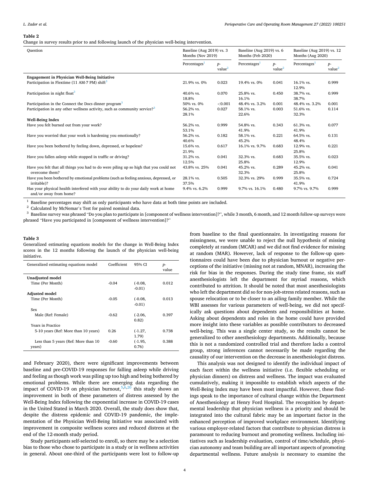#### <span id="page-5-0"></span>**Table 2**

Change in survey results prior to and following launch of the physician well-being intervention.

| Question                                                                                                      | Baseline (Aug 2019) vs. 3<br>Months (Nov 2019) |                            | Baseline (Aug 2019) vs. 6<br>Months (Feb 2020) |                            | Baseline (Aug 2019) vs. 12<br>Months (Aug 2020) |                            |
|---------------------------------------------------------------------------------------------------------------|------------------------------------------------|----------------------------|------------------------------------------------|----------------------------|-------------------------------------------------|----------------------------|
|                                                                                                               | Percentages                                    | $p-$<br>value <sup>2</sup> | Percentages <sup>1</sup>                       | $p-$<br>value <sup>2</sup> | Percentages <sup>1</sup>                        | $p-$<br>value <sup>2</sup> |
| Engagement in Physician Well-Being Initiative                                                                 |                                                |                            |                                                |                            |                                                 |                            |
| Participation in Flextime (11 AM-7 PM) shift <sup>3</sup>                                                     | 21.9% vs. 0%                                   | 0.023                      | 19.4% vs. 0%                                   | 0.041                      | 16.1% vs.<br>12.9%                              | 0.999                      |
| Participation in night float <sup>3</sup>                                                                     | 40.6% vs.<br>18.8%                             | 0.070                      | 25.8% vs.<br>16.1%                             | 0.450                      | 38.7% vs.<br>38.7%                              | 0.999                      |
| Participation in the Connect the Docs dinner program <sup>3</sup>                                             | 50% vs. 0%                                     | < 0.001                    | 48.4% vs. 3.2%                                 | 0.001                      | 48.4% vs. 3.2%                                  | 0.001                      |
| Participation in any other wellness activity, such as community service? <sup>3</sup>                         | 56.2% vs.<br>28.1%                             | 0.027                      | 58.1% vs.<br>22.6%                             | 0.003                      | 51.6% vs.<br>32.3%                              | 0.114                      |
| <b>Well-Being Index</b>                                                                                       |                                                |                            |                                                |                            |                                                 |                            |
| Have you felt burned out from your work?                                                                      | 56.2% vs.                                      | 0.999                      | 54.8% vs.                                      | 0.343                      | 61.3% vs.                                       | 0.077                      |
|                                                                                                               | 53.1%                                          |                            | 41.9%                                          |                            | 41.9%                                           |                            |
| Have you worried that your work is hardening you emotionally?                                                 | 56.2% vs.                                      | 0.182                      | 58.1% vs.                                      | 0.221                      | 64.5% vs.                                       | 0.131                      |
|                                                                                                               | 40.6%                                          |                            | 45.2%                                          |                            | 48.4%                                           |                            |
| Have you been bothered by feeling down, depressed, or hopeless?                                               | 15.6% vs.<br>21.9%                             | 0.617                      | 16.1% vs. 9.7%                                 | 0.683                      | 12.9% vs.<br>25.8%                              | 0.221                      |
| Have you fallen asleep while stopped in traffic or driving?                                                   | 31.2% vs.                                      | 0.041                      | 32.3% vs.                                      | 0.683                      | 35.5% vs.                                       | 0.023                      |
|                                                                                                               | 12.5%                                          |                            | 25.8%                                          |                            | 12.9%                                           |                            |
| Have you felt that all things you had to do were piling up so high that you could not<br>overcome them?       | 43.8% vs. 25%                                  | 0.041                      | 45.2% vs.<br>32.3%                             | 0.289                      | 45.2% vs.<br>25.8%                              | 0.041                      |
| Have you been bothered by emotional problems (such as feeling anxious, depressed, or<br>irritable)?           | 28.1% vs.<br>37.5%                             | 0.505                      | 32.3% vs. 29%                                  | 0.999                      | 35.5% vs.<br>41.9%                              | 0.724                      |
| Has your physical health interfered with your ability to do your daily work at home<br>and/or away from home? | 9.4% vs. 6.2%                                  | 0.999                      | 9.7% vs. 16.1%                                 | 0.480                      | 9.7% vs. 9.7%                                   | 0.999                      |

 $^1$  Baseline percentages may shift as only participants who have data at both time points are included.<br> $^2$  Calculated by McNemar's Test for paired nominal data.<br> $^3$  Baseline survey was phrased "Do you plan to particip phrased "Have you participated in [component of wellness intervention]?"

#### **Table 3**

Generalized estimating equations models for the change in Well-Being Index scores in the 12 months following the launch of the physician well-being initiative.

| <b>Unadjusted model</b><br>Time (Per Month)<br>$-0.04$<br>0.012<br>$(-0.08,$<br>$-0.01$<br><b>Adjusted model</b><br>Time (Per Month)<br>$-0.05$<br>0.013<br>$(-0.08,$<br>$-0.01$<br>Sex<br>Male (Ref: Female)<br>$-0.62$<br>$(-2.06,$<br>0.397<br>0.82)<br>Years in Practice<br>5-10 years (Ref: More than 10 years)<br>0.26<br>0.738<br>$(-1.27,$<br>1.79) | Generalized estimating equations model | Coefficient | 95% CI    | $p-$<br>value |
|-------------------------------------------------------------------------------------------------------------------------------------------------------------------------------------------------------------------------------------------------------------------------------------------------------------------------------------------------------------|----------------------------------------|-------------|-----------|---------------|
|                                                                                                                                                                                                                                                                                                                                                             |                                        |             |           |               |
|                                                                                                                                                                                                                                                                                                                                                             |                                        |             |           |               |
|                                                                                                                                                                                                                                                                                                                                                             |                                        |             |           |               |
|                                                                                                                                                                                                                                                                                                                                                             |                                        |             |           |               |
|                                                                                                                                                                                                                                                                                                                                                             |                                        |             |           |               |
|                                                                                                                                                                                                                                                                                                                                                             |                                        |             |           |               |
|                                                                                                                                                                                                                                                                                                                                                             |                                        |             |           |               |
|                                                                                                                                                                                                                                                                                                                                                             |                                        |             |           |               |
|                                                                                                                                                                                                                                                                                                                                                             |                                        |             |           |               |
|                                                                                                                                                                                                                                                                                                                                                             |                                        |             |           |               |
|                                                                                                                                                                                                                                                                                                                                                             |                                        |             |           |               |
|                                                                                                                                                                                                                                                                                                                                                             |                                        |             |           |               |
|                                                                                                                                                                                                                                                                                                                                                             | Less than 5 years (Ref: More than 10   | $-0.60$     | $(-1.95,$ | 0.388         |
| 0.76)<br>years)                                                                                                                                                                                                                                                                                                                                             |                                        |             |           |               |

and February 2020), there were significant improvements between baseline and pre-COVID-19 responses for falling asleep while driving and feeling as though work was piling up too high and being bothered by emotional problems. While there are emerging data regarding the impact of COVID-19 on physician burnout,  $5,6,20$  this study shows an improvement in both of these parameters of distress assessed by the Well-Being Index following the exponential increase in COVID-19 cases in the United Stated in March 2020. Overall, the study does show that, despite the distress epidemic and COVID-19 pandemic, the implementation of the Physician Well-Being Initiative was associated with improvement in composite wellness scores and reduced distress at the end of the 12-month study period.

Study participants self-selected to enroll, so there may be a selection bias to those who chose to participate in a study or in wellness activities in general. About one-third of the participants were lost to follow-up from baseline to the final questionnaire. In investigating reasons for missingness, we were unable to reject the null hypothesis of missing completely at random (MCAR) and we did not find evidence for missing at random (MAR). However, lack of response to the follow-up questionnaires could have been due to physician burnout or negative perceptions of the initiative (missing not at random, MNAR), increasing the risk for bias in the responses. During the study time frame, six staff anesthesiologists left the department for myriad reasons, which contributed to attrition. It should be noted that most anesthesiologists who left the department did so for non-job-stress related reasons, such as spouse relocation or to be closer to an ailing family member. While the WBI assesses for various parameters of well-being, we did not specifically ask questions about dependents and responsibilities at home. Asking about dependents and roles in the home could have provided more insight into these variables as possible contributors to decreased well-being. This was a single center study, so the results cannot be generalized to other anesthesiology departments. Additionally, because this is not a randomized controlled trial and therefore lacks a control group, strong inferences cannot necessarily be made regarding the causality of our intervention on the decrease in anesthesiologist distress.

This analysis was not designed to identify the individual impact of each facet within the wellness initiative (i.e. flexible scheduling or physician dinners) on distress and wellness. The impact was evaluated cumulatively, making it impossible to establish which aspects of the Well-Being Index may have been most impactful. However, these findings speak to the importance of cultural change within the Department of Anesthesiology at Henry Ford Hospital. The recognition by departmental leadership that physician wellness is a priority and should be integrated into the cultural fabric may be an important factor in the enhanced perception of improved workplace environment. Identifying various employer-related factors that contribute to physician distress is paramount to reducing burnout and promoting wellness. Including initiatives such as leadership evaluation, control of time/schedule, physician autonomy and team building are all important aspects of promoting departmental wellness. Future analysis is necessary to examine the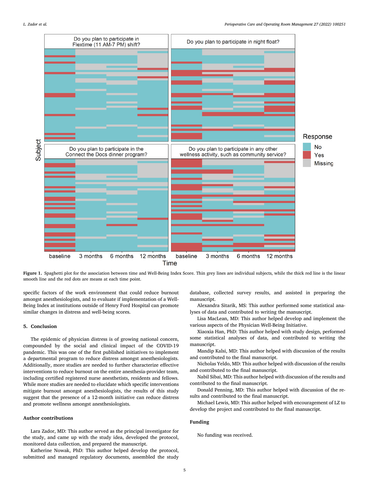<span id="page-6-0"></span>

Figure 1. Spaghetti plot for the association between time and Well-Being Index Score. Thin grey lines are individual subjects, while the thick red line is the linear smooth line and the red dots are means at each time point.

specific factors of the work environment that could reduce burnout amongst anesthesiologists, and to evaluate if implementation of a Well-Being Index at institutions outside of Henry Ford Hospital can promote similar changes in distress and well-being scores.

#### **5. Conclusion**

The epidemic of physician distress is of growing national concern, compounded by the social and clinical impact of the COVID-19 pandemic. This was one of the first published initiatives to implement a departmental program to reduce distress amongst anesthesiologists. Additionally, more studies are needed to further characterize effective interventions to reduce burnout on the entire anesthesia-provider team, including certified registered nurse anesthetists, residents and fellows. While more studies are needed to elucidate which specific interventions mitigate burnout amongst anesthesiologists, the results of this study suggest that the presence of a 12-month initiative can reduce distress and promote wellness amongst anesthesiologists.

#### **Author contributions**

Lara Zador, MD: This author served as the principal investigator for the study, and came up with the study idea, developed the protocol, monitored data collection, and prepared the manuscript.

Katherine Nowak, PhD: This author helped develop the protocol, submitted and managed regulatory documents, assembled the study

database, collected survey results, and assisted in preparing the manuscript.

Alexandra Sitarik, MS: This author performed some statistical analyses of data and contributed to writing the manuscript.

Lisa MacLean, MD: This author helped develop and implement the various aspects of the Physician Well-Being Initiative.

Xiaoxia Han, PhD: This author helped with study design, performed some statistical analyses of data, and contributed to writing the manuscript.

Mandip Kalsi, MD: This author helped with discussion of the results and contributed to the final manuscript.

Nicholas Yeldo, MD: This author helped with discussion of the results and contributed to the final manuscript.

Nabil Sibai, MD: This author helped with discussion of the results and contributed to the final manuscript.

Donald Penning, MD: This author helped with discussion of the results and contributed to the final manuscript.

Michael Lewis, MD: This author helped with encouragement of LZ to develop the project and contributed to the final manuscript.

#### **Funding**

No funding was received.